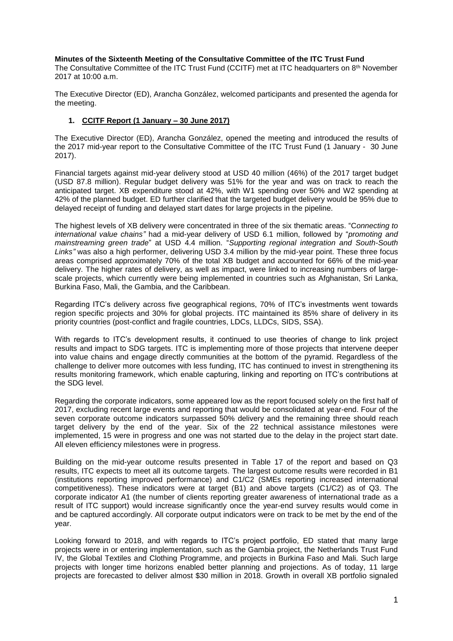### **Minutes of the Sixteenth Meeting of the Consultative Committee of the ITC Trust Fund**

The Consultative Committee of the ITC Trust Fund (CCITF) met at ITC headquarters on 8<sup>th</sup> November 2017 at 10:00 a.m.

The Executive Director (ED), Arancha González, welcomed participants and presented the agenda for the meeting.

# **1. CCITF Report (1 January – 30 June 2017)**

The Executive Director (ED), Arancha González, opened the meeting and introduced the results of the 2017 mid-year report to the Consultative Committee of the ITC Trust Fund (1 January - 30 June 2017).

Financial targets against mid-year delivery stood at USD 40 million (46%) of the 2017 target budget (USD 87.8 million). Regular budget delivery was 51% for the year and was on track to reach the anticipated target. XB expenditure stood at 42%, with W1 spending over 50% and W2 spending at 42% of the planned budget. ED further clarified that the targeted budget delivery would be 95% due to delayed receipt of funding and delayed start dates for large projects in the pipeline.

The highest levels of XB delivery were concentrated in three of the six thematic areas. "C*onnecting to international value chains"* had a mid-year delivery of USD 6.1 million, followed by "*promoting and mainstreaming green trade*" at USD 4.4 million. "*Supporting regional integration and South-South Links"* was also a high performer, delivering USD 3.4 million by the mid-year point. These three focus areas comprised approximately 70% of the total XB budget and accounted for 66% of the mid-year delivery. The higher rates of delivery, as well as impact, were linked to increasing numbers of largescale projects, which currently were being implemented in countries such as Afghanistan, Sri Lanka, Burkina Faso, Mali, the Gambia, and the Caribbean.

Regarding ITC's delivery across five geographical regions, 70% of ITC's investments went towards region specific projects and 30% for global projects. ITC maintained its 85% share of delivery in its priority countries (post-conflict and fragile countries, LDCs, LLDCs, SIDS, SSA).

With regards to ITC's development results, it continued to use theories of change to link project results and impact to SDG targets. ITC is implementing more of those projects that intervene deeper into value chains and engage directly communities at the bottom of the pyramid. Regardless of the challenge to deliver more outcomes with less funding, ITC has continued to invest in strengthening its results monitoring framework, which enable capturing, linking and reporting on ITC's contributions at the SDG level.

Regarding the corporate indicators, some appeared low as the report focused solely on the first half of 2017, excluding recent large events and reporting that would be consolidated at year-end. Four of the seven corporate outcome indicators surpassed 50% delivery and the remaining three should reach target delivery by the end of the year. Six of the 22 technical assistance milestones were implemented, 15 were in progress and one was not started due to the delay in the project start date. All eleven efficiency milestones were in progress.

Building on the mid-year outcome results presented in Table 17 of the report and based on Q3 results, ITC expects to meet all its outcome targets. The largest outcome results were recorded in B1 (institutions reporting improved performance) and C1/C2 (SMEs reporting increased international competitiveness). These indicators were at target (B1) and above targets (C1/C2) as of Q3. The corporate indicator A1 (the number of clients reporting greater awareness of international trade as a result of ITC support) would increase significantly once the year-end survey results would come in and be captured accordingly. All corporate output indicators were on track to be met by the end of the year.

Looking forward to 2018, and with regards to ITC's project portfolio, ED stated that many large projects were in or entering implementation, such as the Gambia project, the Netherlands Trust Fund IV, the Global Textiles and Clothing Programme, and projects in Burkina Faso and Mali. Such large projects with longer time horizons enabled better planning and projections. As of today, 11 large projects are forecasted to deliver almost \$30 million in 2018. Growth in overall XB portfolio signaled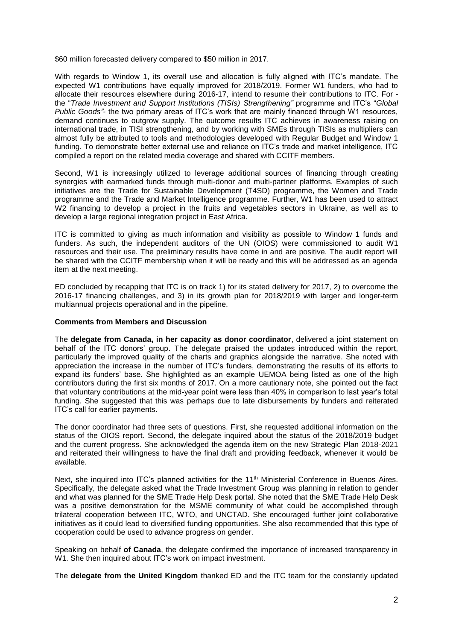\$60 million forecasted delivery compared to \$50 million in 2017.

With regards to Window 1, its overall use and allocation is fully aligned with ITC's mandate. The expected W1 contributions have equally improved for 2018/2019. Former W1 funders, who had to allocate their resources elsewhere during 2016-17, intend to resume their contributions to ITC. For the "*Trade Investment and Support Institutions (TISIs) Strengthening"* programme and ITC's "*Global Public Goods"-* the two primary areas of ITC's work that are mainly financed through W1 resources, demand continues to outgrow supply. The outcome results ITC achieves in awareness raising on international trade, in TISI strengthening, and by working with SMEs through TISIs as multipliers can almost fully be attributed to tools and methodologies developed with Regular Budget and Window 1 funding. To demonstrate better external use and reliance on ITC's trade and market intelligence, ITC compiled a report on the related media coverage and shared with CCITF members.

Second, W1 is increasingly utilized to leverage additional sources of financing through creating synergies with earmarked funds through multi-donor and multi-partner platforms. Examples of such initiatives are the Trade for Sustainable Development (T4SD) programme, the Women and Trade programme and the Trade and Market Intelligence programme. Further, W1 has been used to attract W2 financing to develop a project in the fruits and vegetables sectors in Ukraine, as well as to develop a large regional integration project in East Africa.

ITC is committed to giving as much information and visibility as possible to Window 1 funds and funders. As such, the independent auditors of the UN (OIOS) were commissioned to audit W1 resources and their use. The preliminary results have come in and are positive. The audit report will be shared with the CCITF membership when it will be ready and this will be addressed as an agenda item at the next meeting.

ED concluded by recapping that ITC is on track 1) for its stated delivery for 2017, 2) to overcome the 2016-17 financing challenges, and 3) in its growth plan for 2018/2019 with larger and longer-term multiannual projects operational and in the pipeline.

### **Comments from Members and Discussion**

The **delegate from Canada, in her capacity as donor coordinator**, delivered a joint statement on behalf of the ITC donors' group. The delegate praised the updates introduced within the report, particularly the improved quality of the charts and graphics alongside the narrative. She noted with appreciation the increase in the number of ITC's funders, demonstrating the results of its efforts to expand its funders' base. She highlighted as an example UEMOA being listed as one of the high contributors during the first six months of 2017. On a more cautionary note, she pointed out the fact that voluntary contributions at the mid-year point were less than 40% in comparison to last year's total funding. She suggested that this was perhaps due to late disbursements by funders and reiterated ITC's call for earlier payments.

The donor coordinator had three sets of questions. First, she requested additional information on the status of the OIOS report. Second, the delegate inquired about the status of the 2018/2019 budget and the current progress. She acknowledged the agenda item on the new Strategic Plan 2018-2021 and reiterated their willingness to have the final draft and providing feedback, whenever it would be available.

Next, she inquired into ITC's planned activities for the 11<sup>th</sup> Ministerial Conference in Buenos Aires. Specifically, the delegate asked what the Trade Investment Group was planning in relation to gender and what was planned for the SME Trade Help Desk portal. She noted that the SME Trade Help Desk was a positive demonstration for the MSME community of what could be accomplished through trilateral cooperation between ITC, WTO, and UNCTAD. She encouraged further joint collaborative initiatives as it could lead to diversified funding opportunities. She also recommended that this type of cooperation could be used to advance progress on gender.

Speaking on behalf **of Canada**, the delegate confirmed the importance of increased transparency in W1. She then inquired about ITC's work on impact investment.

The **delegate from the United Kingdom** thanked ED and the ITC team for the constantly updated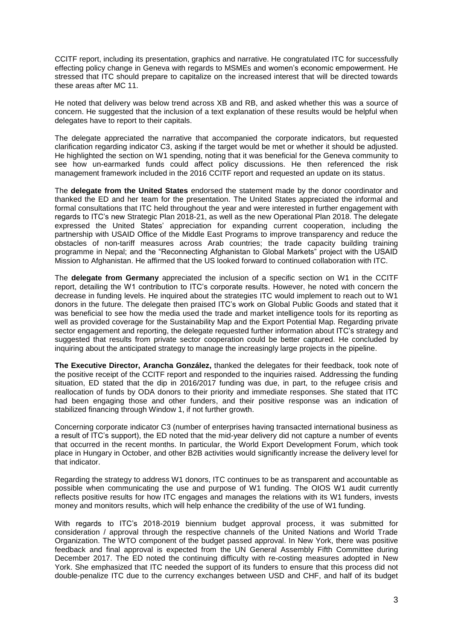CCITF report, including its presentation, graphics and narrative. He congratulated ITC for successfully effecting policy change in Geneva with regards to MSMEs and women's economic empowerment. He stressed that ITC should prepare to capitalize on the increased interest that will be directed towards these areas after MC 11.

He noted that delivery was below trend across XB and RB, and asked whether this was a source of concern. He suggested that the inclusion of a text explanation of these results would be helpful when delegates have to report to their capitals.

The delegate appreciated the narrative that accompanied the corporate indicators, but requested clarification regarding indicator C3, asking if the target would be met or whether it should be adjusted. He highlighted the section on W1 spending, noting that it was beneficial for the Geneva community to see how un-earmarked funds could affect policy discussions. He then referenced the risk management framework included in the 2016 CCITF report and requested an update on its status.

The **delegate from the United States** endorsed the statement made by the donor coordinator and thanked the ED and her team for the presentation. The United States appreciated the informal and formal consultations that ITC held throughout the year and were interested in further engagement with regards to ITC's new Strategic Plan 2018-21, as well as the new Operational Plan 2018. The delegate expressed the United States' appreciation for expanding current cooperation, including the partnership with USAID Office of the Middle East Programs to improve transparency and reduce the obstacles of non-tariff measures across Arab countries; the trade capacity building training programme in Nepal; and the "Reconnecting Afghanistan to Global Markets" project with the USAID Mission to Afghanistan. He affirmed that the US looked forward to continued collaboration with ITC.

The **delegate from Germany** appreciated the inclusion of a specific section on W1 in the CCITF report, detailing the W1 contribution to ITC's corporate results. However, he noted with concern the decrease in funding levels. He inquired about the strategies ITC would implement to reach out to W1 donors in the future. The delegate then praised ITC's work on Global Public Goods and stated that it was beneficial to see how the media used the trade and market intelligence tools for its reporting as well as provided coverage for the Sustainability Map and the Export Potential Map. Regarding private sector engagement and reporting, the delegate requested further information about ITC's strategy and suggested that results from private sector cooperation could be better captured. He concluded by inquiring about the anticipated strategy to manage the increasingly large projects in the pipeline.

**The Executive Director, Arancha González,** thanked the delegates for their feedback, took note of the positive receipt of the CCITF report and responded to the inquiries raised. Addressing the funding situation, ED stated that the dip in 2016/2017 funding was due, in part, to the refugee crisis and reallocation of funds by ODA donors to their priority and immediate responses. She stated that ITC had been engaging those and other funders, and their positive response was an indication of stabilized financing through Window 1, if not further growth.

Concerning corporate indicator C3 (number of enterprises having transacted international business as a result of ITC's support), the ED noted that the mid-year delivery did not capture a number of events that occurred in the recent months. In particular, the World Export Development Forum, which took place in Hungary in October, and other B2B activities would significantly increase the delivery level for that indicator.

Regarding the strategy to address W1 donors, ITC continues to be as transparent and accountable as possible when communicating the use and purpose of W1 funding. The OIOS W1 audit currently reflects positive results for how ITC engages and manages the relations with its W1 funders, invests money and monitors results, which will help enhance the credibility of the use of W1 funding.

With regards to ITC's 2018-2019 biennium budget approval process, it was submitted for consideration / approval through the respective channels of the United Nations and World Trade Organization. The WTO component of the budget passed approval. In New York, there was positive feedback and final approval is expected from the UN General Assembly Fifth Committee during December 2017. The ED noted the continuing difficulty with re-costing measures adopted in New York. She emphasized that ITC needed the support of its funders to ensure that this process did not double-penalize ITC due to the currency exchanges between USD and CHF, and half of its budget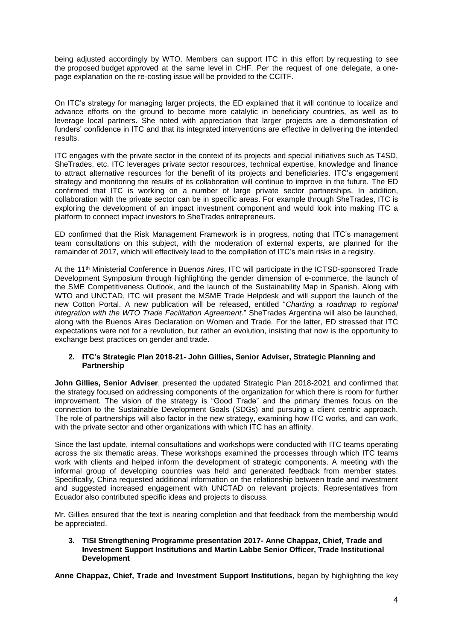being adjusted accordingly by WTO. Members can support ITC in this effort by requesting to see the proposed budget approved at the same level in CHF. Per the request of one delegate, a onepage explanation on the re-costing issue will be provided to the CCITF.

On ITC's strategy for managing larger projects, the ED explained that it will continue to localize and advance efforts on the ground to become more catalytic in beneficiary countries, as well as to leverage local partners. She noted with appreciation that larger projects are a demonstration of funders' confidence in ITC and that its integrated interventions are effective in delivering the intended results.

ITC engages with the private sector in the context of its projects and special initiatives such as T4SD, SheTrades, etc. ITC leverages private sector resources, technical expertise, knowledge and finance to attract alternative resources for the benefit of its projects and beneficiaries. ITC's engagement strategy and monitoring the results of its collaboration will continue to improve in the future. The ED confirmed that ITC is working on a number of large private sector partnerships. In addition, collaboration with the private sector can be in specific areas. For example through SheTrades, ITC is exploring the development of an impact investment component and would look into making ITC a platform to connect impact investors to SheTrades entrepreneurs.

ED confirmed that the Risk Management Framework is in progress, noting that ITC's management team consultations on this subject, with the moderation of external experts, are planned for the remainder of 2017, which will effectively lead to the compilation of ITC's main risks in a registry.

At the 11th Ministerial Conference in Buenos Aires, ITC will participate in the ICTSD-sponsored Trade Development Symposium through highlighting the gender dimension of e-commerce, the launch of the SME Competitiveness Outlook, and the launch of the Sustainability Map in Spanish. Along with WTO and UNCTAD, ITC will present the MSME Trade Helpdesk and will support the launch of the new Cotton Portal. A new publication will be released, entitled "*Charting a roadmap to regional integration with the WTO Trade Facilitation Agreement*." SheTrades Argentina will also be launched, along with the Buenos Aires Declaration on Women and Trade. For the latter, ED stressed that ITC expectations were not for a revolution, but rather an evolution, insisting that now is the opportunity to exchange best practices on gender and trade.

### **2. ITC's Strategic Plan 2018-21- John Gillies, Senior Adviser, Strategic Planning and Partnership**

**John Gillies, Senior Adviser**, presented the updated Strategic Plan 2018-2021 and confirmed that the strategy focused on addressing components of the organization for which there is room for further improvement. The vision of the strategy is "Good Trade" and the primary themes focus on the connection to the Sustainable Development Goals (SDGs) and pursuing a client centric approach. The role of partnerships will also factor in the new strategy, examining how ITC works, and can work, with the private sector and other organizations with which ITC has an affinity.

Since the last update, internal consultations and workshops were conducted with ITC teams operating across the six thematic areas. These workshops examined the processes through which ITC teams work with clients and helped inform the development of strategic components. A meeting with the informal group of developing countries was held and generated feedback from member states. Specifically, China requested additional information on the relationship between trade and investment and suggested increased engagement with UNCTAD on relevant projects. Representatives from Ecuador also contributed specific ideas and projects to discuss.

Mr. Gillies ensured that the text is nearing completion and that feedback from the membership would be appreciated.

**3. TISI Strengthening Programme presentation 2017- Anne Chappaz, Chief, Trade and Investment Support Institutions and Martin Labbe Senior Officer, Trade Institutional Development**

**Anne Chappaz, Chief, Trade and Investment Support Institutions**, began by highlighting the key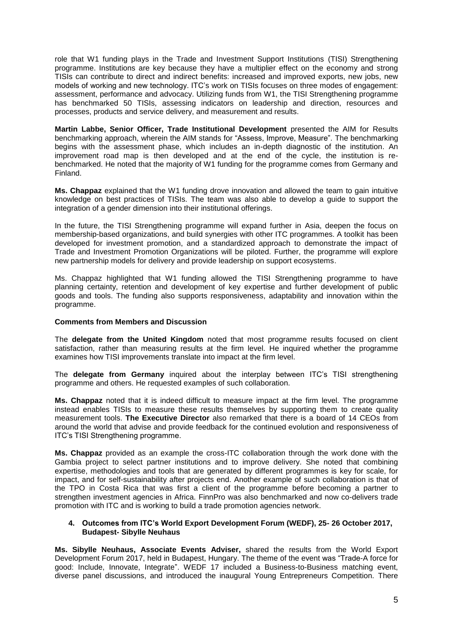role that W1 funding plays in the Trade and Investment Support Institutions (TISI) Strengthening programme. Institutions are key because they have a multiplier effect on the economy and strong TISIs can contribute to direct and indirect benefits: increased and improved exports, new jobs, new models of working and new technology. ITC's work on TISIs focuses on three modes of engagement: assessment, performance and advocacy. Utilizing funds from W1, the TISI Strengthening programme has benchmarked 50 TISIs, assessing indicators on leadership and direction, resources and processes, products and service delivery, and measurement and results.

**Martin Labbe, Senior Officer, Trade Institutional Development** presented the AIM for Results benchmarking approach, wherein the AIM stands for "Assess, Improve, Measure". The benchmarking begins with the assessment phase, which includes an in-depth diagnostic of the institution. An improvement road map is then developed and at the end of the cycle, the institution is rebenchmarked. He noted that the majority of W1 funding for the programme comes from Germany and Finland.

**Ms. Chappaz** explained that the W1 funding drove innovation and allowed the team to gain intuitive knowledge on best practices of TISIs. The team was also able to develop a guide to support the integration of a gender dimension into their institutional offerings.

In the future, the TISI Strengthening programme will expand further in Asia, deepen the focus on membership-based organizations, and build synergies with other ITC programmes. A toolkit has been developed for investment promotion, and a standardized approach to demonstrate the impact of Trade and Investment Promotion Organizations will be piloted. Further, the programme will explore new partnership models for delivery and provide leadership on support ecosystems.

Ms. Chappaz highlighted that W1 funding allowed the TISI Strengthening programme to have planning certainty, retention and development of key expertise and further development of public goods and tools. The funding also supports responsiveness, adaptability and innovation within the programme.

### **Comments from Members and Discussion**

The **delegate from the United Kingdom** noted that most programme results focused on client satisfaction, rather than measuring results at the firm level. He inquired whether the programme examines how TISI improvements translate into impact at the firm level.

The **delegate from Germany** inquired about the interplay between ITC's TISI strengthening programme and others. He requested examples of such collaboration.

**Ms. Chappaz** noted that it is indeed difficult to measure impact at the firm level. The programme instead enables TISIs to measure these results themselves by supporting them to create quality measurement tools. **The Executive Director** also remarked that there is a board of 14 CEOs from around the world that advise and provide feedback for the continued evolution and responsiveness of ITC's TISI Strengthening programme.

**Ms. Chappaz** provided as an example the cross-ITC collaboration through the work done with the Gambia project to select partner institutions and to improve delivery. She noted that combining expertise, methodologies and tools that are generated by different programmes is key for scale, for impact, and for self-sustainability after projects end. Another example of such collaboration is that of the TPO in Costa Rica that was first a client of the programme before becoming a partner to strengthen investment agencies in Africa. FinnPro was also benchmarked and now co-delivers trade promotion with ITC and is working to build a trade promotion agencies network.

### **4. Outcomes from ITC's World Export Development Forum (WEDF), 25- 26 October 2017, Budapest- Sibylle Neuhaus**

**Ms. Sibylle Neuhaus, Associate Events Adviser,** shared the results from the World Export Development Forum 2017, held in Budapest, Hungary. The theme of the event was "Trade-A force for good: Include, Innovate, Integrate". WEDF 17 included a Business-to-Business matching event, diverse panel discussions, and introduced the inaugural Young Entrepreneurs Competition. There